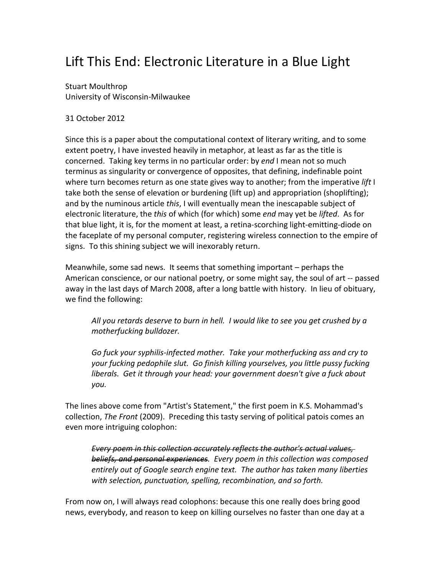# Lift This End: Electronic Literature in a Blue Light

Stuart Moulthrop University of Wisconsin-Milwaukee

31 October 2012

Since this is a paper about the computational context of literary writing, and to some extent poetry, I have invested heavily in metaphor, at least as far as the title is concerned. Taking key terms in no particular order: by *end* I mean not so much terminus as singularity or convergence of opposites, that defining, indefinable point where turn becomes return as one state gives way to another; from the imperative *lift* I take both the sense of elevation or burdening (lift up) and appropriation (shoplifting); and by the numinous article *this*, I will eventually mean the inescapable subject of electronic literature, the *this* of which (for which) some *end* may yet be *lifted*. As for that blue light, it is, for the moment at least, a retina-scorching light-emitting-diode on the faceplate of my personal computer, registering wireless connection to the empire of signs. To this shining subject we will inexorably return.

Meanwhile, some sad news. It seems that something important – perhaps the American conscience, or our national poetry, or some might say, the soul of art -- passed away in the last days of March 2008, after a long battle with history. In lieu of obituary, we find the following:

*All you retards deserve to burn in hell. I would like to see you get crushed by a motherfucking bulldozer.*

*Go fuck your syphilis-infected mother. Take your motherfucking ass and cry to your fucking pedophile slut. Go finish killing yourselves, you little pussy fucking liberals. Get it through your head: your government doesn't give a fuck about you.*

The lines above come from "Artist's Statement," the first poem in K.S. Mohammad's collection, *The Front* (2009). Preceding this tasty serving of political patois comes an even more intriguing colophon:

*Every poem in this collection accurately reflects the author's actual values, beliefs, and personal experiences. Every poem in this collection was composed entirely out of Google search engine text. The author has taken many liberties with selection, punctuation, spelling, recombination, and so forth.*

From now on, I will always read colophons: because this one really does bring good news, everybody, and reason to keep on killing ourselves no faster than one day at a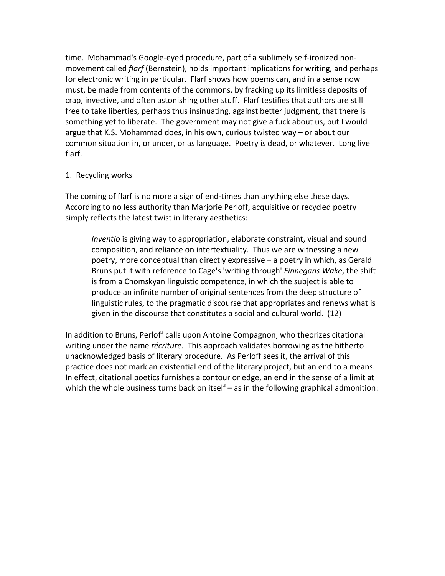time. Mohammad's Google-eyed procedure, part of a sublimely self-ironized nonmovement called *flarf* (Bernstein), holds important implications for writing, and perhaps for electronic writing in particular. Flarf shows how poems can, and in a sense now must, be made from contents of the commons, by fracking up its limitless deposits of crap, invective, and often astonishing other stuff. Flarf testifies that authors are still free to take liberties, perhaps thus insinuating, against better judgment, that there is something yet to liberate. The government may not give a fuck about us, but I would argue that K.S. Mohammad does, in his own, curious twisted way – or about our common situation in, or under, or as language. Poetry is dead, or whatever. Long live flarf.

#### 1. Recycling works

The coming of flarf is no more a sign of end-times than anything else these days. According to no less authority than Marjorie Perloff, acquisitive or recycled poetry simply reflects the latest twist in literary aesthetics:

*Inventio* is giving way to appropriation, elaborate constraint, visual and sound composition, and reliance on intertextuality. Thus we are witnessing a new poetry, more conceptual than directly expressive – a poetry in which, as Gerald Bruns put it with reference to Cage's 'writing through' *Finnegans Wake*, the shift is from a Chomskyan linguistic competence, in which the subject is able to produce an infinite number of original sentences from the deep structure of linguistic rules, to the pragmatic discourse that appropriates and renews what is given in the discourse that constitutes a social and cultural world. (12)

In addition to Bruns, Perloff calls upon Antoine Compagnon, who theorizes citational writing under the name *récriture*. This approach validates borrowing as the hitherto unacknowledged basis of literary procedure. As Perloff sees it, the arrival of this practice does not mark an existential end of the literary project, but an end to a means. In effect, citational poetics furnishes a contour or edge, an end in the sense of a limit at which the whole business turns back on itself – as in the following graphical admonition: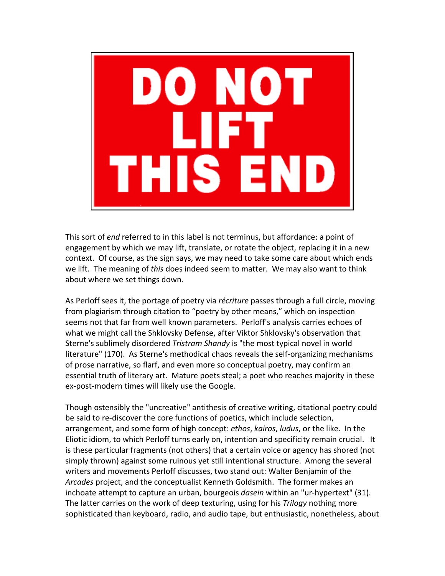

This sort of *end* referred to in this label is not terminus, but affordance: a point of engagement by which we may lift, translate, or rotate the object, replacing it in a new context. Of course, as the sign says, we may need to take some care about which ends we lift. The meaning of *this* does indeed seem to matter. We may also want to think about where we set things down.

As Perloff sees it, the portage of poetry via *récriture* passes through a full circle, moving from plagiarism through citation to "poetry by other means," which on inspection seems not that far from well known parameters. Perloff's analysis carries echoes of what we might call the Shklovsky Defense, after Viktor Shklovsky's observation that Sterne's sublimely disordered *Tristram Shandy* is "the most typical novel in world literature" (170). As Sterne's methodical chaos reveals the self-organizing mechanisms of prose narrative, so flarf, and even more so conceptual poetry, may confirm an essential truth of literary art. Mature poets steal; a poet who reaches majority in these ex-post-modern times will likely use the Google.

Though ostensibly the "uncreative" antithesis of creative writing, citational poetry could be said to re-discover the core functions of poetics, which include selection, arrangement, and some form of high concept: *ethos*, *kairos*, *ludus*, or the like. In the Eliotic idiom, to which Perloff turns early on, intention and specificity remain crucial. It is these particular fragments (not others) that a certain voice or agency has shored (not simply thrown) against some ruinous yet still intentional structure. Among the several writers and movements Perloff discusses, two stand out: Walter Benjamin of the *Arcades* project, and the conceptualist Kenneth Goldsmith. The former makes an inchoate attempt to capture an urban, bourgeois *dasein* within an "ur-hypertext" (31). The latter carries on the work of deep texturing, using for his *Trilogy* nothing more sophisticated than keyboard, radio, and audio tape, but enthusiastic, nonetheless, about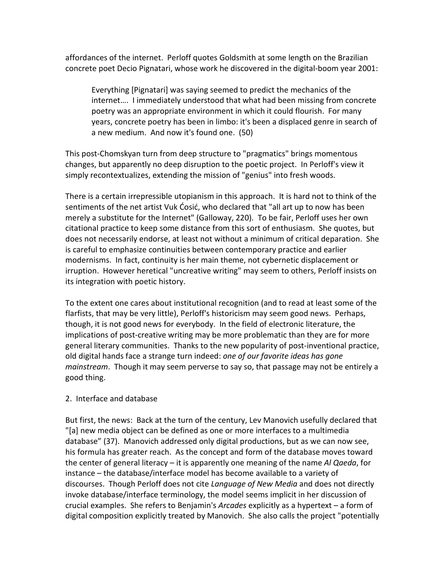affordances of the internet. Perloff quotes Goldsmith at some length on the Brazilian concrete poet Decio Pignatari, whose work he discovered in the digital-boom year 2001:

Everything [Pignatari] was saying seemed to predict the mechanics of the internet…. I immediately understood that what had been missing from concrete poetry was an appropriate environment in which it could flourish. For many years, concrete poetry has been in limbo: it's been a displaced genre in search of a new medium. And now it's found one. (50)

This post-Chomskyan turn from deep structure to "pragmatics" brings momentous changes, but apparently no deep disruption to the poetic project. In Perloff's view it simply recontextualizes, extending the mission of "genius" into fresh woods.

There is a certain irrepressible utopianism in this approach. It is hard not to think of the sentiments of the net artist Vuk Ćosić, who declared that "all art up to now has been merely a substitute for the Internet" (Galloway, 220). To be fair, Perloff uses her own citational practice to keep some distance from this sort of enthusiasm. She quotes, but does not necessarily endorse, at least not without a minimum of critical deparation. She is careful to emphasize continuities between contemporary practice and earlier modernisms. In fact, continuity is her main theme, not cybernetic displacement or irruption. However heretical "uncreative writing" may seem to others, Perloff insists on its integration with poetic history.

To the extent one cares about institutional recognition (and to read at least some of the flarfists, that may be very little), Perloff's historicism may seem good news. Perhaps, though, it is not good news for everybody. In the field of electronic literature, the implications of post-creative writing may be more problematic than they are for more general literary communities. Thanks to the new popularity of post-inventional practice, old digital hands face a strange turn indeed: *one of our favorite ideas has gone mainstream*. Though it may seem perverse to say so, that passage may not be entirely a good thing.

### 2. Interface and database

But first, the news: Back at the turn of the century, Lev Manovich usefully declared that "[a] new media object can be defined as one or more interfaces to a multimedia database" (37). Manovich addressed only digital productions, but as we can now see, his formula has greater reach. As the concept and form of the database moves toward the center of general literacy – it is apparently one meaning of the name *Al Qaeda*, for instance – the database/interface model has become available to a variety of discourses. Though Perloff does not cite *Language of New Media* and does not directly invoke database/interface terminology, the model seems implicit in her discussion of crucial examples. She refers to Benjamin's *Arcades* explicitly as a hypertext – a form of digital composition explicitly treated by Manovich. She also calls the project "potentially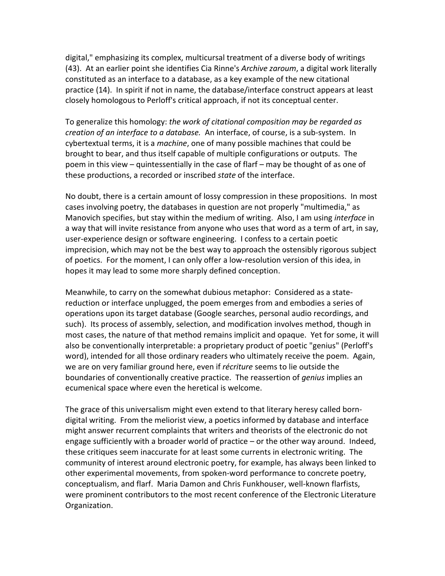digital," emphasizing its complex, multicursal treatment of a diverse body of writings (43). At an earlier point she identifies Cia Rinne's *Archive zaroum*, a digital work literally constituted as an interface to a database, as a key example of the new citational practice (14). In spirit if not in name, the database/interface construct appears at least closely homologous to Perloff's critical approach, if not its conceptual center.

To generalize this homology: *the work of citational composition may be regarded as creation of an interface to a database.* An interface, of course, is a sub-system. In cybertextual terms, it is a *machine*, one of many possible machines that could be brought to bear, and thus itself capable of multiple configurations or outputs. The poem in this view – quintessentially in the case of flarf – may be thought of as one of these productions, a recorded or inscribed *state* of the interface.

No doubt, there is a certain amount of lossy compression in these propositions. In most cases involving poetry, the databases in question are not properly "multimedia," as Manovich specifies, but stay within the medium of writing. Also, I am using *interface* in a way that will invite resistance from anyone who uses that word as a term of art, in say, user-experience design or software engineering. I confess to a certain poetic imprecision, which may not be the best way to approach the ostensibly rigorous subject of poetics. For the moment, I can only offer a low-resolution version of this idea, in hopes it may lead to some more sharply defined conception.

Meanwhile, to carry on the somewhat dubious metaphor: Considered as a statereduction or interface unplugged, the poem emerges from and embodies a series of operations upon its target database (Google searches, personal audio recordings, and such). Its process of assembly, selection, and modification involves method, though in most cases, the nature of that method remains implicit and opaque. Yet for some, it will also be conventionally interpretable: a proprietary product of poetic "genius" (Perloff's word), intended for all those ordinary readers who ultimately receive the poem. Again, we are on very familiar ground here, even if *récriture* seems to lie outside the boundaries of conventionally creative practice. The reassertion of *genius* implies an ecumenical space where even the heretical is welcome.

The grace of this universalism might even extend to that literary heresy called borndigital writing. From the meliorist view, a poetics informed by database and interface might answer recurrent complaints that writers and theorists of the electronic do not engage sufficiently with a broader world of practice – or the other way around. Indeed, these critiques seem inaccurate for at least some currents in electronic writing. The community of interest around electronic poetry, for example, has always been linked to other experimental movements, from spoken-word performance to concrete poetry, conceptualism, and flarf. Maria Damon and Chris Funkhouser, well-known flarfists, were prominent contributors to the most recent conference of the Electronic Literature Organization.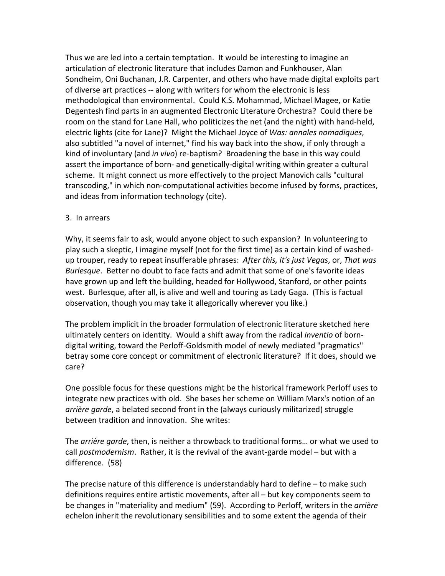Thus we are led into a certain temptation. It would be interesting to imagine an articulation of electronic literature that includes Damon and Funkhouser, Alan Sondheim, Oni Buchanan, J.R. Carpenter, and others who have made digital exploits part of diverse art practices -- along with writers for whom the electronic is less methodological than environmental. Could K.S. Mohammad, Michael Magee, or Katie Degentesh find parts in an augmented Electronic Literature Orchestra? Could there be room on the stand for Lane Hall, who politicizes the net (and the night) with hand-held, electric lights (cite for Lane)? Might the Michael Joyce of *Was: annales nomadiques*, also subtitled "a novel of internet," find his way back into the show, if only through a kind of involuntary (and *in vivo*) re-baptism? Broadening the base in this way could assert the importance of born- and genetically-digital writing within greater a cultural scheme. It might connect us more effectively to the project Manovich calls "cultural transcoding," in which non-computational activities become infused by forms, practices, and ideas from information technology (cite).

### 3. In arrears

Why, it seems fair to ask, would anyone object to such expansion? In volunteering to play such a skeptic, I imagine myself (not for the first time) as a certain kind of washedup trouper, ready to repeat insufferable phrases: *After this, it's just Vegas*, or, *That was Burlesque*. Better no doubt to face facts and admit that some of one's favorite ideas have grown up and left the building, headed for Hollywood, Stanford, or other points west. Burlesque, after all, is alive and well and touring as Lady Gaga. (This is factual observation, though you may take it allegorically wherever you like.)

The problem implicit in the broader formulation of electronic literature sketched here ultimately centers on identity. Would a shift away from the radical *inventio* of borndigital writing, toward the Perloff-Goldsmith model of newly mediated "pragmatics" betray some core concept or commitment of electronic literature? If it does, should we care?

One possible focus for these questions might be the historical framework Perloff uses to integrate new practices with old. She bases her scheme on William Marx's notion of an *arrière garde*, a belated second front in the (always curiously militarized) struggle between tradition and innovation. She writes:

The *arrière garde*, then, is neither a throwback to traditional forms… or what we used to call *postmodernism*. Rather, it is the revival of the avant-garde model – but with a difference. (58)

The precise nature of this difference is understandably hard to define – to make such definitions requires entire artistic movements, after all – but key components seem to be changes in "materiality and medium" (59). According to Perloff, writers in the *arrière* echelon inherit the revolutionary sensibilities and to some extent the agenda of their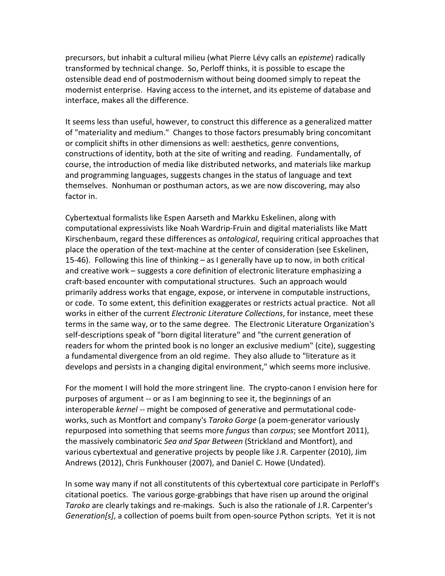precursors, but inhabit a cultural milieu (what Pierre Lévy calls an *episteme*) radically transformed by technical change. So, Perloff thinks, it is possible to escape the ostensible dead end of postmodernism without being doomed simply to repeat the modernist enterprise. Having access to the internet, and its episteme of database and interface, makes all the difference.

It seems less than useful, however, to construct this difference as a generalized matter of "materiality and medium." Changes to those factors presumably bring concomitant or complicit shifts in other dimensions as well: aesthetics, genre conventions, constructions of identity, both at the site of writing and reading. Fundamentally, of course, the introduction of media like distributed networks, and materials like markup and programming languages, suggests changes in the status of language and text themselves. Nonhuman or posthuman actors, as we are now discovering, may also factor in.

Cybertextual formalists like Espen Aarseth and Markku Eskelinen, along with computational expressivists like Noah Wardrip-Fruin and digital materialists like Matt Kirschenbaum, regard these differences as *ontological*, requiring critical approaches that place the operation of the text-machine at the center of consideration (see Eskelinen, 15-46). Following this line of thinking – as I generally have up to now, in both critical and creative work – suggests a core definition of electronic literature emphasizing a craft-based encounter with computational structures. Such an approach would primarily address works that engage, expose, or intervene in computable instructions, or code. To some extent, this definition exaggerates or restricts actual practice. Not all works in either of the current *Electronic Literature Collections*, for instance, meet these terms in the same way, or to the same degree. The Electronic Literature Organization's self-descriptions speak of "born digital literature" and "the current generation of readers for whom the printed book is no longer an exclusive medium" (cite), suggesting a fundamental divergence from an old regime. They also allude to "literature as it develops and persists in a changing digital environment," which seems more inclusive.

For the moment I will hold the more stringent line. The crypto-canon I envision here for purposes of argument -- or as I am beginning to see it, the beginnings of an interoperable *kernel* -- might be composed of generative and permutational codeworks, such as Montfort and company's *Taroko Gorge* (a poem-generator variously repurposed into something that seems more *fungus* than *corpus*; see Montfort 2011), the massively combinatoric *Sea and Spar Between* (Strickland and Montfort), and various cybertextual and generative projects by people like J.R. Carpenter (2010), Jim Andrews (2012), Chris Funkhouser (2007), and Daniel C. Howe (Undated).

In some way many if not all constitutents of this cybertextual core participate in Perloff's citational poetics. The various gorge-grabbings that have risen up around the original *Taroko* are clearly takings and re-makings. Such is also the rationale of J.R. Carpenter's *Generation[s]*, a collection of poems built from open-source Python scripts. Yet it is not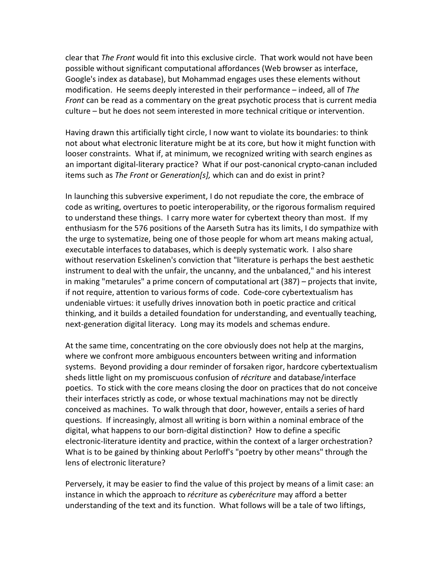clear that *The Front* would fit into this exclusive circle. That work would not have been possible without significant computational affordances (Web browser as interface, Google's index as database), but Mohammad engages uses these elements without modification. He seems deeply interested in their performance – indeed, all of *The Front* can be read as a commentary on the great psychotic process that is current media culture – but he does not seem interested in more technical critique or intervention.

Having drawn this artificially tight circle, I now want to violate its boundaries: to think not about what electronic literature might be at its core, but how it might function with looser constraints. What if, at minimum, we recognized writing with search engines as an important digital-literary practice? What if our post-canonical crypto-canan included items such as *The Front* or *Generation[s],* which can and do exist in print?

In launching this subversive experiment, I do not repudiate the core, the embrace of code as writing, overtures to poetic interoperability, or the rigorous formalism required to understand these things. I carry more water for cybertext theory than most. If my enthusiasm for the 576 positions of the Aarseth Sutra has its limits, I do sympathize with the urge to systematize, being one of those people for whom art means making actual, executable interfaces to databases, which is deeply systematic work. I also share without reservation Eskelinen's conviction that "literature is perhaps the best aesthetic instrument to deal with the unfair, the uncanny, and the unbalanced," and his interest in making "metarules" a prime concern of computational art (387) – projects that invite, if not require, attention to various forms of code. Code-core cybertextualism has undeniable virtues: it usefully drives innovation both in poetic practice and critical thinking, and it builds a detailed foundation for understanding, and eventually teaching, next-generation digital literacy. Long may its models and schemas endure.

At the same time, concentrating on the core obviously does not help at the margins, where we confront more ambiguous encounters between writing and information systems. Beyond providing a dour reminder of forsaken rigor, hardcore cybertextualism sheds little light on my promiscuous confusion of *récriture* and database/interface poetics. To stick with the core means closing the door on practices that do not conceive their interfaces strictly as code, or whose textual machinations may not be directly conceived as machines. To walk through that door, however, entails a series of hard questions. If increasingly, almost all writing is born within a nominal embrace of the digital, what happens to our born-digital distinction? How to define a specific electronic-literature identity and practice, within the context of a larger orchestration? What is to be gained by thinking about Perloff's "poetry by other means" through the lens of electronic literature?

Perversely, it may be easier to find the value of this project by means of a limit case: an instance in which the approach to *récriture* as *cyberécriture* may afford a better understanding of the text and its function. What follows will be a tale of two liftings,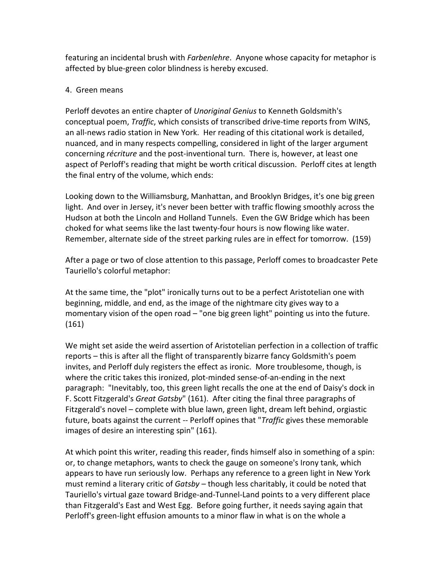featuring an incidental brush with *Farbenlehre*. Anyone whose capacity for metaphor is affected by blue-green color blindness is hereby excused.

## 4. Green means

Perloff devotes an entire chapter of *Unoriginal Genius* to Kenneth Goldsmith's conceptual poem, *Traffic*, which consists of transcribed drive-time reports from WINS, an all-news radio station in New York. Her reading of this citational work is detailed, nuanced, and in many respects compelling, considered in light of the larger argument concerning *récriture* and the post-inventional turn. There is, however, at least one aspect of Perloff's reading that might be worth critical discussion. Perloff cites at length the final entry of the volume, which ends:

Looking down to the Williamsburg, Manhattan, and Brooklyn Bridges, it's one big green light. And over in Jersey, it's never been better with traffic flowing smoothly across the Hudson at both the Lincoln and Holland Tunnels. Even the GW Bridge which has been choked for what seems like the last twenty-four hours is now flowing like water. Remember, alternate side of the street parking rules are in effect for tomorrow. (159)

After a page or two of close attention to this passage, Perloff comes to broadcaster Pete Tauriello's colorful metaphor:

At the same time, the "plot" ironically turns out to be a perfect Aristotelian one with beginning, middle, and end, as the image of the nightmare city gives way to a momentary vision of the open road – "one big green light" pointing us into the future. (161)

We might set aside the weird assertion of Aristotelian perfection in a collection of traffic reports – this is after all the flight of transparently bizarre fancy Goldsmith's poem invites, and Perloff duly registers the effect as ironic. More troublesome, though, is where the critic takes this ironized, plot-minded sense-of-an-ending in the next paragraph: "Inevitably, too, this green light recalls the one at the end of Daisy's dock in F. Scott Fitzgerald's *Great Gatsby*" (161). After citing the final three paragraphs of Fitzgerald's novel – complete with blue lawn, green light, dream left behind, orgiastic future, boats against the current -- Perloff opines that "*Traffic* gives these memorable images of desire an interesting spin" (161).

At which point this writer, reading this reader, finds himself also in something of a spin: or, to change metaphors, wants to check the gauge on someone's Irony tank, which appears to have run seriously low. Perhaps any reference to a green light in New York must remind a literary critic of *Gatsby* – though less charitably, it could be noted that Tauriello's virtual gaze toward Bridge-and-Tunnel-Land points to a very different place than Fitzgerald's East and West Egg. Before going further, it needs saying again that Perloff's green-light effusion amounts to a minor flaw in what is on the whole a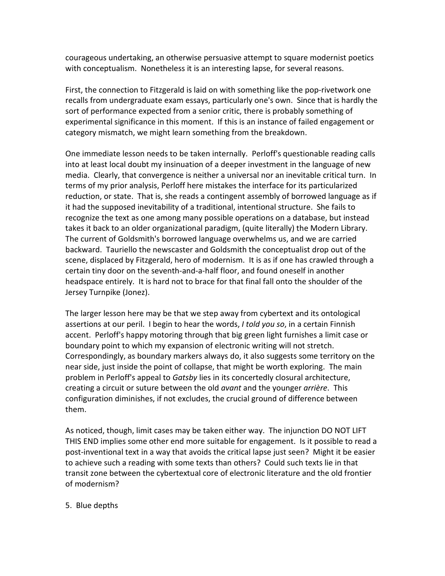courageous undertaking, an otherwise persuasive attempt to square modernist poetics with conceptualism. Nonetheless it is an interesting lapse, for several reasons.

First, the connection to Fitzgerald is laid on with something like the pop-rivetwork one recalls from undergraduate exam essays, particularly one's own. Since that is hardly the sort of performance expected from a senior critic, there is probably something of experimental significance in this moment. If this is an instance of failed engagement or category mismatch, we might learn something from the breakdown.

One immediate lesson needs to be taken internally. Perloff's questionable reading calls into at least local doubt my insinuation of a deeper investment in the language of new media. Clearly, that convergence is neither a universal nor an inevitable critical turn. In terms of my prior analysis, Perloff here mistakes the interface for its particularized reduction, or state. That is, she reads a contingent assembly of borrowed language as if it had the supposed inevitability of a traditional, intentional structure. She fails to recognize the text as one among many possible operations on a database, but instead takes it back to an older organizational paradigm, (quite literally) the Modern Library. The current of Goldsmith's borrowed language overwhelms us, and we are carried backward. Tauriello the newscaster and Goldsmith the conceptualist drop out of the scene, displaced by Fitzgerald, hero of modernism. It is as if one has crawled through a certain tiny door on the seventh-and-a-half floor, and found oneself in another headspace entirely. It is hard not to brace for that final fall onto the shoulder of the Jersey Turnpike (Jonez).

The larger lesson here may be that we step away from cybertext and its ontological assertions at our peril. I begin to hear the words, *I told you so*, in a certain Finnish accent. Perloff's happy motoring through that big green light furnishes a limit case or boundary point to which my expansion of electronic writing will not stretch. Correspondingly, as boundary markers always do, it also suggests some territory on the near side, just inside the point of collapse, that might be worth exploring. The main problem in Perloff's appeal to *Gatsby* lies in its concertedly closural architecture, creating a circuit or suture between the old *avant* and the younger *arrière*. This configuration diminishes, if not excludes, the crucial ground of difference between them.

As noticed, though, limit cases may be taken either way. The injunction DO NOT LIFT THIS END implies some other end more suitable for engagement. Is it possible to read a post-inventional text in a way that avoids the critical lapse just seen? Might it be easier to achieve such a reading with some texts than others? Could such texts lie in that transit zone between the cybertextual core of electronic literature and the old frontier of modernism?

5. Blue depths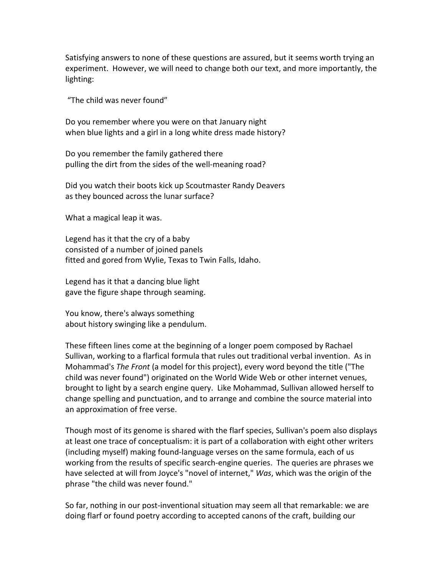Satisfying answers to none of these questions are assured, but it seems worth trying an experiment. However, we will need to change both our text, and more importantly, the lighting:

"The child was never found"

Do you remember where you were on that January night when blue lights and a girl in a long white dress made history?

Do you remember the family gathered there pulling the dirt from the sides of the well-meaning road?

Did you watch their boots kick up Scoutmaster Randy Deavers as they bounced across the lunar surface?

What a magical leap it was.

Legend has it that the cry of a baby consisted of a number of joined panels fitted and gored from Wylie, Texas to Twin Falls, Idaho.

Legend has it that a dancing blue light gave the figure shape through seaming.

You know, there's always something about history swinging like a pendulum.

These fifteen lines come at the beginning of a longer poem composed by Rachael Sullivan, working to a flarfical formula that rules out traditional verbal invention. As in Mohammad's *The Front* (a model for this project), every word beyond the title ("The child was never found") originated on the World Wide Web or other internet venues, brought to light by a search engine query. Like Mohammad, Sullivan allowed herself to change spelling and punctuation, and to arrange and combine the source material into an approximation of free verse.

Though most of its genome is shared with the flarf species, Sullivan's poem also displays at least one trace of conceptualism: it is part of a collaboration with eight other writers (including myself) making found-language verses on the same formula, each of us working from the results of specific search-engine queries. The queries are phrases we have selected at will from Joyce's "novel of internet," *Was*, which was the origin of the phrase "the child was never found."

So far, nothing in our post-inventional situation may seem all that remarkable: we are doing flarf or found poetry according to accepted canons of the craft, building our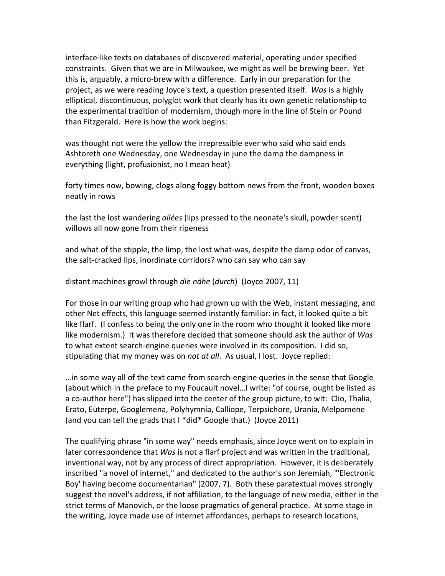interface-like texts on databases of discovered material, operating under specified constraints. Given that we are in Milwaukee, we might as well be brewing beer. Yet this is, arguably, a micro-brew with a difference. Early in our preparation for the project, as we were reading Joyce's text, a question presented itself. *Was* is a highly elliptical, discontinuous, polyglot work that clearly has its own genetic relationship to the experimental tradition of modernism, though more in the line of Stein or Pound than Fitzgerald. Here is how the work begins:

was thought not were the yellow the irrepressible ever who said who said ends Ashtoreth one Wednesday, one Wednesday in june the damp the dampness in everything (light, profusionist, no I mean heat)

forty times now, bowing, clogs along foggy bottom news from the front, wooden boxes neatly in rows

the last the lost wandering *allées* (lips pressed to the neonate's skull, powder scent) willows all now gone from their ripeness

and what of the stipple, the limp, the lost what-was, despite the damp odor of canvas, the salt-cracked lips, inordinate corridors? who can say who can say

distant machines growl through *die nähe* (*durch*) (Joyce 2007, 11)

For those in our writing group who had grown up with the Web, instant messaging, and other Net effects, this language seemed instantly familiar: in fact, it looked quite a bit like flarf. (I confess to being the only one in the room who thought it looked like more like modernism.) It was therefore decided that someone should ask the author of *Was* to what extent search-engine queries were involved in its composition. I did so, stipulating that my money was on *not at all*. As usual, I lost. Joyce replied:

…in some way all of the text came from search-engine queries in the sense that Google (about which in the preface to my Foucault novel…I write: "of course, ought be listed as a co-author here") has slipped into the center of the group picture, to wit: Clio, Thalia, Erato, Euterpe, Googlemena, Polyhymnia, Calliope, Terpsichore, Urania, Melpomene (and you can tell the grads that I \*did\* Google that.) (Joyce 2011)

The qualifying phrase "in some way" needs emphasis, since Joyce went on to explain in later correspondence that *Was* is not a flarf project and was written in the traditional, inventional way, not by any process of direct appropriation. However, it is deliberately inscribed "a novel of internet," and dedicated to the author's son Jeremiah, "'Electronic Boy' having become documentarian" (2007, 7). Both these paratextual moves strongly suggest the novel's address, if not affiliation, to the language of new media, either in the strict terms of Manovich, or the loose pragmatics of general practice. At some stage in the writing, Joyce made use of internet affordances, perhaps to research locations,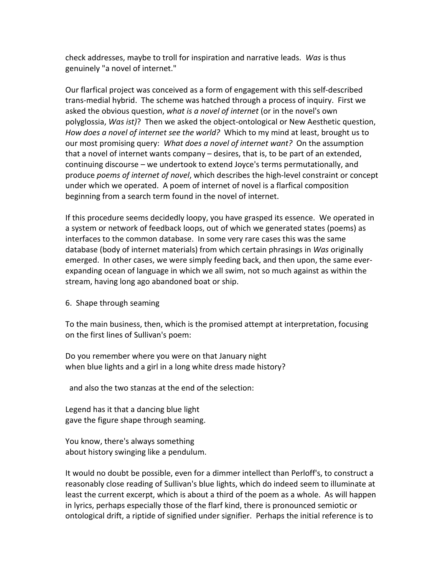check addresses, maybe to troll for inspiration and narrative leads. *Was* is thus genuinely "a novel of internet."

Our flarfical project was conceived as a form of engagement with this self-described trans-medial hybrid. The scheme was hatched through a process of inquiry. First we asked the obvious question, *what is a novel of internet* (or in the novel's own polyglossia, *Was ist)*? Then we asked the object-ontological or New Aesthetic question, *How does a novel of internet see the world?* Which to my mind at least, brought us to our most promising query: *What does a novel of internet want?* On the assumption that a novel of internet wants company – desires, that is, to be part of an extended, continuing discourse – we undertook to extend Joyce's terms permutationally, and produce *poems of internet of novel*, which describes the high-level constraint or concept under which we operated. A poem of internet of novel is a flarfical composition beginning from a search term found in the novel of internet.

If this procedure seems decidedly loopy, you have grasped its essence. We operated in a system or network of feedback loops, out of which we generated states (poems) as interfaces to the common database. In some very rare cases this was the same database (body of internet materials) from which certain phrasings in *Was* originally emerged. In other cases, we were simply feeding back, and then upon, the same everexpanding ocean of language in which we all swim, not so much against as within the stream, having long ago abandoned boat or ship.

6. Shape through seaming

To the main business, then, which is the promised attempt at interpretation, focusing on the first lines of Sullivan's poem:

Do you remember where you were on that January night when blue lights and a girl in a long white dress made history?

and also the two stanzas at the end of the selection:

Legend has it that a dancing blue light gave the figure shape through seaming.

You know, there's always something about history swinging like a pendulum.

It would no doubt be possible, even for a dimmer intellect than Perloff's, to construct a reasonably close reading of Sullivan's blue lights, which do indeed seem to illuminate at least the current excerpt, which is about a third of the poem as a whole. As will happen in lyrics, perhaps especially those of the flarf kind, there is pronounced semiotic or ontological drift, a riptide of signified under signifier. Perhaps the initial reference is to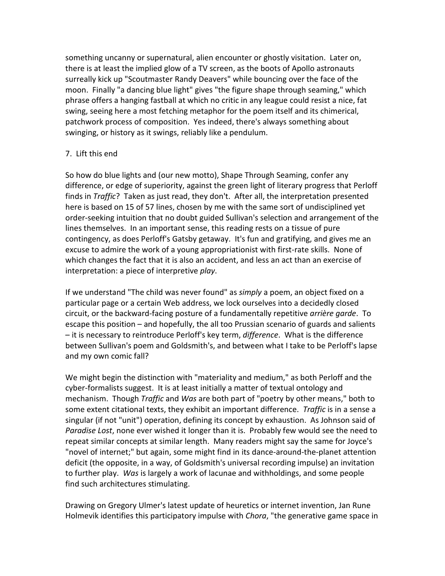something uncanny or supernatural, alien encounter or ghostly visitation. Later on, there is at least the implied glow of a TV screen, as the boots of Apollo astronauts surreally kick up "Scoutmaster Randy Deavers" while bouncing over the face of the moon. Finally "a dancing blue light" gives "the figure shape through seaming," which phrase offers a hanging fastball at which no critic in any league could resist a nice, fat swing, seeing here a most fetching metaphor for the poem itself and its chimerical, patchwork process of composition. Yes indeed, there's always something about swinging, or history as it swings, reliably like a pendulum.

### 7. Lift this end

So how do blue lights and (our new motto), Shape Through Seaming, confer any difference, or edge of superiority, against the green light of literary progress that Perloff finds in *Traffic*? Taken as just read, they don't. After all, the interpretation presented here is based on 15 of 57 lines, chosen by me with the same sort of undisciplined yet order-seeking intuition that no doubt guided Sullivan's selection and arrangement of the lines themselves. In an important sense, this reading rests on a tissue of pure contingency, as does Perloff's Gatsby getaway. It's fun and gratifying, and gives me an excuse to admire the work of a young appropriationist with first-rate skills. None of which changes the fact that it is also an accident, and less an act than an exercise of interpretation: a piece of interpretive *play*.

If we understand "The child was never found" as *simply* a poem, an object fixed on a particular page or a certain Web address, we lock ourselves into a decidedly closed circuit, or the backward-facing posture of a fundamentally repetitive *arrière garde*. To escape this position – and hopefully, the all too Prussian scenario of guards and salients – it is necessary to reintroduce Perloff's key term, *difference*. What is the difference between Sullivan's poem and Goldsmith's, and between what I take to be Perloff's lapse and my own comic fall?

We might begin the distinction with "materiality and medium," as both Perloff and the cyber-formalists suggest. It is at least initially a matter of textual ontology and mechanism. Though *Traffic* and *Was* are both part of "poetry by other means," both to some extent citational texts, they exhibit an important difference. *Traffic* is in a sense a singular (if not "unit") operation, defining its concept by exhaustion. As Johnson said of *Paradise Lost*, none ever wished it longer than it is. Probably few would see the need to repeat similar concepts at similar length. Many readers might say the same for Joyce's "novel of internet;" but again, some might find in its dance-around-the-planet attention deficit (the opposite, in a way, of Goldsmith's universal recording impulse) an invitation to further play. *Was* is largely a work of lacunae and withholdings, and some people find such architectures stimulating.

Drawing on Gregory Ulmer's latest update of heuretics or internet invention, Jan Rune Holmevik identifies this participatory impulse with *Chora*, "the generative game space in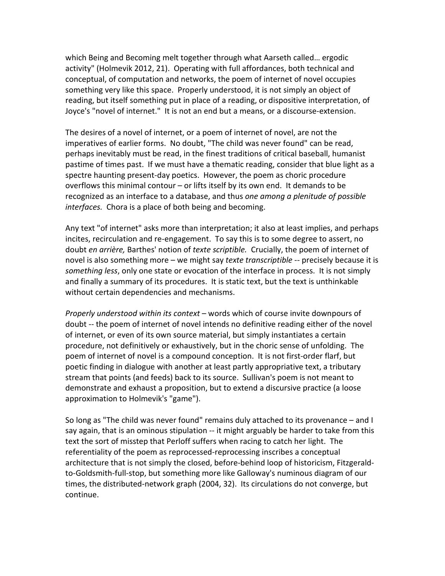which Being and Becoming melt together through what Aarseth called… ergodic activity" (Holmevik 2012, 21). Operating with full affordances, both technical and conceptual, of computation and networks, the poem of internet of novel occupies something very like this space. Properly understood, it is not simply an object of reading, but itself something put in place of a reading, or dispositive interpretation, of Joyce's "novel of internet." It is not an end but a means, or a discourse-extension.

The desires of a novel of internet, or a poem of internet of novel, are not the imperatives of earlier forms. No doubt, "The child was never found" can be read, perhaps inevitably must be read, in the finest traditions of critical baseball, humanist pastime of times past. If we must have a thematic reading, consider that blue light as a spectre haunting present-day poetics. However, the poem as choric procedure overflows this minimal contour – or lifts itself by its own end. It demands to be recognized as an interface to a database, and thus *one among a plenitude of possible interfaces.* Chora is a place of both being and becoming.

Any text "of internet" asks more than interpretation; it also at least implies, and perhaps incites, recirculation and re-engagement. To say this is to some degree to assert, no doubt *en arrière,* Barthes' notion of *texte scriptible.* Crucially, the poem of internet of novel is also something more – we might say *texte transcriptible* -- precisely because it is *something less*, only one state or evocation of the interface in process. It is not simply and finally a summary of its procedures. It is static text, but the text is unthinkable without certain dependencies and mechanisms.

*Properly understood within its context* – words which of course invite downpours of doubt -- the poem of internet of novel intends no definitive reading either of the novel of internet, or even of its own source material, but simply instantiates a certain procedure, not definitively or exhaustively, but in the choric sense of unfolding. The poem of internet of novel is a compound conception. It is not first-order flarf, but poetic finding in dialogue with another at least partly appropriative text, a tributary stream that points (and feeds) back to its source. Sullivan's poem is not meant to demonstrate and exhaust a proposition, but to extend a discursive practice (a loose approximation to Holmevik's "game").

So long as "The child was never found" remains duly attached to its provenance – and I say again, that is an ominous stipulation -- it might arguably be harder to take from this text the sort of misstep that Perloff suffers when racing to catch her light. The referentiality of the poem as reprocessed-reprocessing inscribes a conceptual architecture that is not simply the closed, before-behind loop of historicism, Fitzgeraldto-Goldsmith-full-stop, but something more like Galloway's numinous diagram of our times, the distributed-network graph (2004, 32). Its circulations do not converge, but continue.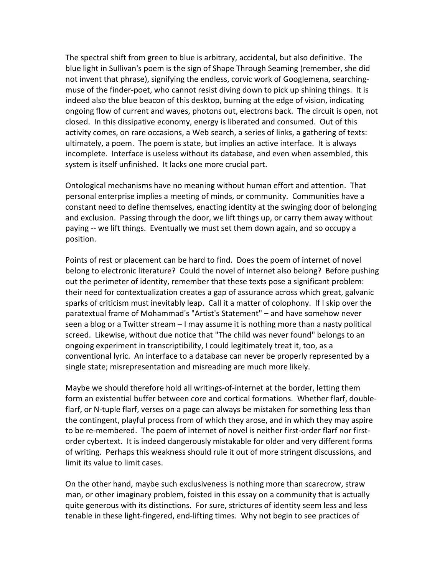The spectral shift from green to blue is arbitrary, accidental, but also definitive. The blue light in Sullivan's poem is the sign of Shape Through Seaming (remember, she did not invent that phrase), signifying the endless, corvic work of Googlemena, searchingmuse of the finder-poet, who cannot resist diving down to pick up shining things. It is indeed also the blue beacon of this desktop, burning at the edge of vision, indicating ongoing flow of current and waves, photons out, electrons back. The circuit is open, not closed. In this dissipative economy, energy is liberated and consumed. Out of this activity comes, on rare occasions, a Web search, a series of links, a gathering of texts: ultimately, a poem. The poem is state, but implies an active interface. It is always incomplete. Interface is useless without its database, and even when assembled, this system is itself unfinished. It lacks one more crucial part.

Ontological mechanisms have no meaning without human effort and attention. That personal enterprise implies a meeting of minds, or community. Communities have a constant need to define themselves, enacting identity at the swinging door of belonging and exclusion. Passing through the door, we lift things up, or carry them away without paying -- we lift things. Eventually we must set them down again, and so occupy a position.

Points of rest or placement can be hard to find. Does the poem of internet of novel belong to electronic literature? Could the novel of internet also belong? Before pushing out the perimeter of identity, remember that these texts pose a significant problem: their need for contextualization creates a gap of assurance across which great, galvanic sparks of criticism must inevitably leap. Call it a matter of colophony. If I skip over the paratextual frame of Mohammad's "Artist's Statement" – and have somehow never seen a blog or a Twitter stream – I may assume it is nothing more than a nasty political screed. Likewise, without due notice that "The child was never found" belongs to an ongoing experiment in transcriptibility, I could legitimately treat it, too, as a conventional lyric. An interface to a database can never be properly represented by a single state; misrepresentation and misreading are much more likely.

Maybe we should therefore hold all writings-of-internet at the border, letting them form an existential buffer between core and cortical formations. Whether flarf, doubleflarf, or N-tuple flarf, verses on a page can always be mistaken for something less than the contingent, playful process from of which they arose, and in which they may aspire to be re-membered. The poem of internet of novel is neither first-order flarf nor firstorder cybertext. It is indeed dangerously mistakable for older and very different forms of writing. Perhaps this weakness should rule it out of more stringent discussions, and limit its value to limit cases.

On the other hand, maybe such exclusiveness is nothing more than scarecrow, straw man, or other imaginary problem, foisted in this essay on a community that is actually quite generous with its distinctions. For sure, strictures of identity seem less and less tenable in these light-fingered, end-lifting times. Why not begin to see practices of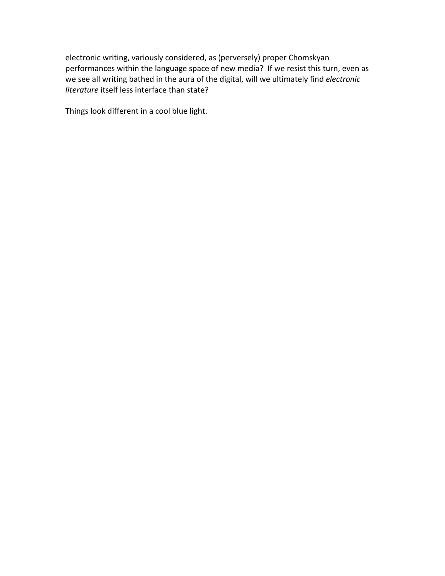electronic writing, variously considered, as (perversely) proper Chomskyan performances within the language space of new media? If we resist this turn, even as we see all writing bathed in the aura of the digital, will we ultimately find *electronic literature* itself less interface than state?

Things look different in a cool blue light.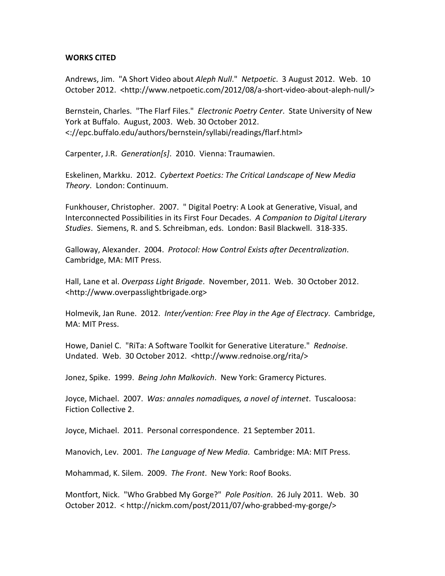#### **WORKS CITED**

Andrews, Jim. "A Short Video about *Aleph Null*." *Netpoetic*. 3 August 2012. Web. 10 October 2012. <http://www.netpoetic.com/2012/08/a-short-video-about-aleph-null/>

Bernstein, Charles. "The Flarf Files." *Electronic Poetry Center*. State University of New York at Buffalo. August, 2003. Web. 30 October 2012. <://epc.buffalo.edu/authors/bernstein/syllabi/readings/flarf.html>

Carpenter, J.R. *Generation[s]*. 2010. Vienna: Traumawien.

Eskelinen, Markku. 2012. *Cybertext Poetics: The Critical Landscape of New Media Theory*. London: Continuum.

Funkhouser, Christopher. 2007. " Digital Poetry: A Look at Generative, Visual, and Interconnected Possibilities in its First Four Decades. *A Companion to Digital Literary Studies*. Siemens, R. and S. Schreibman, eds. London: Basil Blackwell. 318-335.

Galloway, Alexander. 2004. *Protocol: How Control Exists after Decentralization*. Cambridge, MA: MIT Press.

Hall, Lane et al. *Overpass Light Brigade*. November, 2011. Web. 30 October 2012. <http://www.overpasslightbrigade.org>

Holmevik, Jan Rune. 2012. *Inter/vention: Free Play in the Age of Electracy*. Cambridge, MA: MIT Press.

Howe, Daniel C. "RiTa: A Software Toolkit for Generative Literature." *Rednoise*. Undated. Web. 30 October 2012. <http://www.rednoise.org/rita/>

Jonez, Spike. 1999. *Being John Malkovich*. New York: Gramercy Pictures.

Joyce, Michael. 2007. *Was: annales nomadiques, a novel of internet*. Tuscaloosa: Fiction Collective 2.

Joyce, Michael. 2011. Personal correspondence. 21 September 2011.

Manovich, Lev. 2001. *The Language of New Media*. Cambridge: MA: MIT Press.

Mohammad, K. Silem. 2009. *The Front*. New York: Roof Books.

Montfort, Nick. "Who Grabbed My Gorge?" *Pole Position*. 26 July 2011. Web. 30 October 2012. < http://nickm.com/post/2011/07/who-grabbed-my-gorge/>